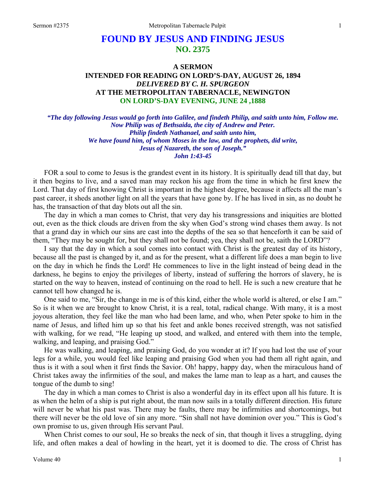# **FOUND BY JESUS AND FINDING JESUS NO. 2375**

## **A SERMON INTENDED FOR READING ON LORD'S-DAY, AUGUST 26, 1894**  *DELIVERED BY C. H. SPURGEON*  **AT THE METROPOLITAN TABERNACLE, NEWINGTON ON LORD'S-DAY EVENING, JUNE 24 ,1888**

*"The day following Jesus would go forth into Galilee, and findeth Philip, and saith unto him, Follow me. Now Philip was of Bethsaida, the city of Andrew and Peter. Philip findeth Nathanael, and saith unto him, We have found him, of whom Moses in the law, and the prophets, did write, Jesus of Nazareth, the son of Joseph." John 1:43-45* 

FOR a soul to come to Jesus is the grandest event in its history. It is spiritually dead till that day, but it then begins to live, and a saved man may reckon his age from the time in which he first knew the Lord. That day of first knowing Christ is important in the highest degree, because it affects all the man's past career, it sheds another light on all the years that have gone by. If he has lived in sin, as no doubt he has, the transaction of that day blots out all the sin.

The day in which a man comes to Christ, that very day his transgressions and iniquities are blotted out, even as the thick clouds are driven from the sky when God's strong wind chases them away. Is not that a grand day in which our sins are cast into the depths of the sea so that henceforth it can be said of them, "They may be sought for, but they shall not be found; yea, they shall not be, saith the LORD"?

I say that the day in which a soul comes into contact with Christ is the greatest day of its history, because all the past is changed by it, and as for the present, what a different life does a man begin to live on the day in which he finds the Lord! He commences to live in the light instead of being dead in the darkness, he begins to enjoy the privileges of liberty, instead of suffering the horrors of slavery, he is started on the way to heaven, instead of continuing on the road to hell. He is such a new creature that he cannot tell how changed he is.

One said to me, "Sir, the change in me is of this kind, either the whole world is altered, or else I am." So is it when we are brought to know Christ, it is a real, total, radical change. With many, it is a most joyous alteration, they feel like the man who had been lame, and who, when Peter spoke to him in the name of Jesus, and lifted him up so that his feet and ankle bones received strength, was not satisfied with walking, for we read, "He leaping up stood, and walked, and entered with them into the temple, walking, and leaping, and praising God."

He was walking, and leaping, and praising God, do you wonder at it? If you had lost the use of your legs for a while, you would feel like leaping and praising God when you had them all right again, and thus is it with a soul when it first finds the Savior. Oh! happy, happy day, when the miraculous hand of Christ takes away the infirmities of the soul, and makes the lame man to leap as a hart, and causes the tongue of the dumb to sing!

The day in which a man comes to Christ is also a wonderful day in its effect upon all his future. It is as when the helm of a ship is put right about, the man now sails in a totally different direction. His future will never be what his past was. There may be faults, there may be infirmities and shortcomings, but there will never be the old love of sin any more. "Sin shall not have dominion over you." This is God's own promise to us, given through His servant Paul.

When Christ comes to our soul, He so breaks the neck of sin, that though it lives a struggling, dying life, and often makes a deal of howling in the heart, yet it is doomed to die. The cross of Christ has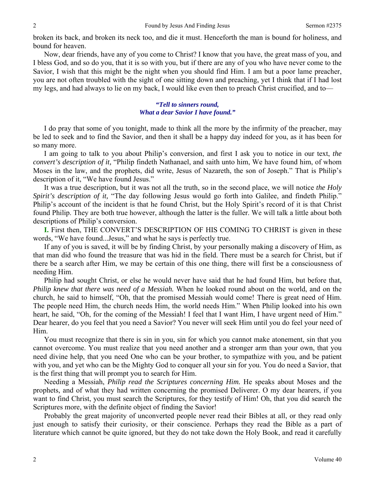broken its back, and broken its neck too, and die it must. Henceforth the man is bound for holiness, and bound for heaven.

Now, dear friends, have any of you come to Christ? I know that you have, the great mass of you, and I bless God, and so do you, that it is so with you, but if there are any of you who have never come to the Savior, I wish that this might be the night when you should find Him. I am but a poor lame preacher, you are not often troubled with the sight of one sitting down and preaching, yet I think that if I had lost my legs, and had always to lie on my back, I would like even then to preach Christ crucified, and to—

#### *"Tell to sinners round, What a dear Savior I have found."*

I do pray that some of you tonight, made to think all the more by the infirmity of the preacher, may be led to seek and to find the Savior, and then it shall be a happy day indeed for you, as it has been for so many more.

I am going to talk to you about Philip's conversion, and first I ask you to notice in our text, *the convert's description of it,* "Philip findeth Nathanael, and saith unto him, We have found him, of whom Moses in the law, and the prophets, did write, Jesus of Nazareth, the son of Joseph." That is Philip's description of it, "We have found Jesus."

It was a true description, but it was not all the truth, so in the second place, we will notice *the Holy Spirit's description of it,* "The day following Jesus would go forth into Galilee, and findeth Philip." Philip's account of the incident is that he found Christ, but the Holy Spirit's record of it is that Christ found Philip. They are both true however, although the latter is the fuller. We will talk a little about both descriptions of Philip's conversion.

**I.** First then, THE CONVERT'S DESCRIPTION OF HIS COMING TO CHRIST is given in these words, "We have found...Jesus," and what he says is perfectly true.

If any of you is saved, it will be by finding Christ, by your personally making a discovery of Him, as that man did who found the treasure that was hid in the field. There must be a search for Christ, but if there be a search after Him, we may be certain of this one thing, there will first be a consciousness of needing Him.

Philip had sought Christ, or else he would never have said that he had found Him, but before that, *Philip knew that there was need of a Messiah.* When he looked round about on the world, and on the church, he said to himself, "Oh, that the promised Messiah would come! There is great need of Him. The people need Him, the church needs Him, the world needs Him." When Philip looked into his own heart, he said, "Oh, for the coming of the Messiah! I feel that I want Him, I have urgent need of Him." Dear hearer, do you feel that you need a Savior? You never will seek Him until you do feel your need of Him.

You must recognize that there is sin in you, sin for which you cannot make atonement, sin that you cannot overcome. You must realize that you need another and a stronger arm than your own, that you need divine help, that you need One who can be your brother, to sympathize with you, and be patient with you, and yet who can be the Mighty God to conquer all your sin for you. You do need a Savior, that is the first thing that will prompt you to search for Him.

Needing a Messiah, *Philip read the Scriptures concerning Him.* He speaks about Moses and the prophets, and of what they had written concerning the promised Deliverer. O my dear hearers, if you want to find Christ, you must search the Scriptures, for they testify of Him! Oh, that you did search the Scriptures more, with the definite object of finding the Savior!

Probably the great majority of unconverted people never read their Bibles at all, or they read only just enough to satisfy their curiosity, or their conscience. Perhaps they read the Bible as a part of literature which cannot be quite ignored, but they do not take down the Holy Book, and read it carefully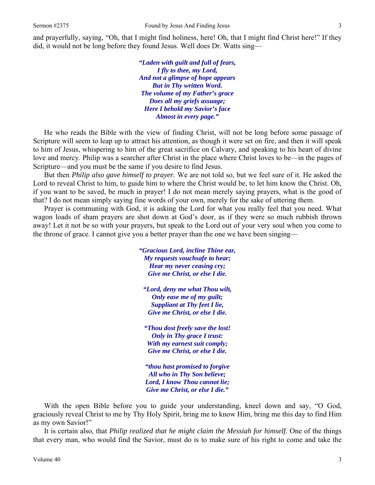and prayerfully, saying, "Oh, that I might find holiness, here! Oh, that I might find Christ here!" If they did, it would not be long before they found Jesus. Well does Dr. Watts sing—

> *"Laden with guilt and full of fears, I fly to thee, my Lord, And not a glimpse of hope appears But in Thy written Word. The volume of my Father's grace Does all my griefs assuage; Here I behold my Savior's face Almost in every page."*

He who reads the Bible with the view of finding Christ, will not be long before some passage of Scripture will seem to leap up to attract his attention, as though it were set on fire, and then it will speak to him of Jesus, whispering to him of the great sacrifice on Calvary, and speaking to his heart of divine love and mercy. Philip was a searcher after Christ in the place where Christ loves to be—in the pages of Scripture—and you must be the same if you desire to find Jesus.

But then *Philip also gave himself to prayer.* We are not told so, but we feel sure of it. He asked the Lord to reveal Christ to him, to guide him to where the Christ would be, to let him know the Christ. Oh, if you want to be saved, be much in prayer! I do not mean merely saying prayers, what is the good of that? I do not mean simply saying fine words of your own, merely for the sake of uttering them.

Prayer is communing with God, it is asking the Lord for what you really feel that you need. What wagon loads of sham prayers are shot down at God's door, as if they were so much rubbish thrown away! Let it not be so with your prayers, but speak to the Lord out of your very soul when you come to the throne of grace. I cannot give you a better prayer than the one we have been singing—

> *"Gracious Lord, incline Thine ear, My requests vouchsafe to hear; Hear my never ceasing cry; Give me Christ, or else I die.*

*"Lord, deny me what Thou wilt, Only ease me of my guilt; Suppliant at Thy feet I lie, Give me Christ, or else I die.* 

*"Thou dost freely save the lost! Only in Thy grace I trust: With my earnest suit comply; Give me Christ, or else I die.* 

*"thou hast promised to forgive All who in Thy Son believe; Lord, I know Thou cannot lie; Give me Christ, or else I die."* 

With the open Bible before you to guide your understanding, kneel down and say, "O God, graciously reveal Christ to me by Thy Holy Spirit, bring me to know Him, bring me this day to find Him as my own Savior!"

It is certain also, that *Philip realized that he might claim the Messiah for himself.* One of the things that every man, who would find the Savior, must do is to make sure of his right to come and take the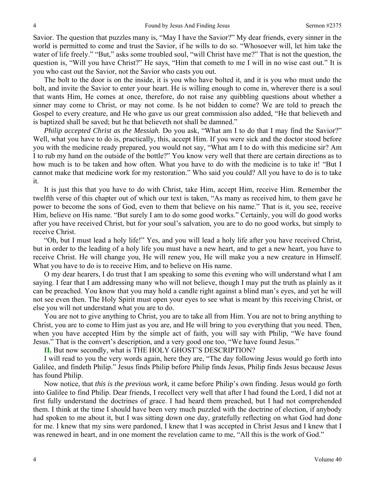Savior. The question that puzzles many is, "May I have the Savior?" My dear friends, every sinner in the world is permitted to come and trust the Savior, if he wills to do so. "Whosoever will, let him take the water of life freely." "But," asks some troubled soul, "will Christ have me?" That is not the question, the question is, "Will you have Christ?" He says, "Him that cometh to me I will in no wise cast out." It is you who cast out the Savior, not the Savior who casts you out.

The bolt to the door is on the inside, it is you who have bolted it, and it is you who must undo the bolt, and invite the Savior to enter your heart. He is willing enough to come in, wherever there is a soul that wants Him, He comes at once, therefore, do not raise any quibbling questions about whether a sinner may come to Christ, or may not come. Is he not bidden to come? We are told to preach the Gospel to every creature, and He who gave us our great commission also added, "He that believeth and is baptized shall be saved; but he that believeth not shall be damned."

*Philip accepted Christ as the Messiah.* Do you ask, "What am I to do that I may find the Savior?" Well, what you have to do is, practically, this, accept Him. If you were sick and the doctor stood before you with the medicine ready prepared, you would not say, "What am I to do with this medicine sir? Am I to rub my hand on the outside of the bottle?" You know very well that there are certain directions as to how much is to be taken and how often. What you have to do with the medicine is to take it! "But I cannot make that medicine work for my restoration." Who said you could? All you have to do is to take it.

It is just this that you have to do with Christ, take Him, accept Him, receive Him. Remember the twelfth verse of this chapter out of which our text is taken, "As many as received him, to them gave he power to become the sons of God, even to them that believe on his name." That is it, you see, receive Him, believe on His name. "But surely I am to do some good works." Certainly, you will do good works after you have received Christ, but for your soul's salvation, you are to do no good works, but simply to receive Christ.

"Oh, but I must lead a holy life!" Yes, and you will lead a holy life after you have received Christ, but in order to the leading of a holy life you must have a new heart, and to get a new heart, you have to receive Christ. He will change you, He will renew you, He will make you a new creature in Himself. What you have to do is to receive Him, and to believe on His name.

O my dear hearers, I do trust that I am speaking to some this evening who will understand what I am saying. I fear that I am addressing many who will not believe, though I may put the truth as plainly as it can be preached. You know that you may hold a candle right against a blind man's eyes, and yet he will not see even then. The Holy Spirit must open your eyes to see what is meant by this receiving Christ, or else you will not understand what you are to do.

You are not to give anything to Christ, you are to take all from Him. You are not to bring anything to Christ, you are to come to Him just as you are, and He will bring to you everything that you need. Then, when you have accepted Him by the simple act of faith, you will say with Philip, "We have found Jesus." That is the convert's description, and a very good one too, "We have found Jesus."

**II.** But now secondly, what is THE HOLY GHOST'S DESCRIPTION?

I will read to you the very words again, here they are, "The day following Jesus would go forth into Galilee, and findeth Philip." Jesus finds Philip before Philip finds Jesus, Philip finds Jesus because Jesus has found Philip.

Now notice, that *this is the previous work,* it came before Philip's own finding. Jesus would go forth into Galilee to find Philip. Dear friends, I recollect very well that after I had found the Lord, I did not at first fully understand the doctrines of grace. I had heard them preached, but I had not comprehended them. I think at the time I should have been very much puzzled with the doctrine of election, if anybody had spoken to me about it, but I was sitting down one day, gratefully reflecting on what God had done for me. I knew that my sins were pardoned, I knew that I was accepted in Christ Jesus and I knew that I was renewed in heart, and in one moment the revelation came to me, "All this is the work of God."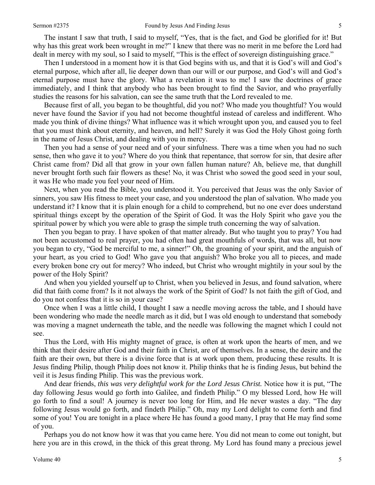The instant I saw that truth, I said to myself, "Yes, that is the fact, and God be glorified for it! But why has this great work been wrought in me?" I knew that there was no merit in me before the Lord had dealt in mercy with my soul, so I said to myself, "This is the effect of sovereign distinguishing grace."

Then I understood in a moment how it is that God begins with us, and that it is God's will and God's eternal purpose, which after all, lie deeper down than our will or our purpose, and God's will and God's eternal purpose must have the glory. What a revelation it was to me! I saw the doctrines of grace immediately, and I think that anybody who has been brought to find the Savior, and who prayerfully studies the reasons for his salvation, can see the same truth that the Lord revealed to me.

Because first of all, you began to be thoughtful, did you not? Who made you thoughtful? You would never have found the Savior if you had not become thoughtful instead of careless and indifferent. Who made you think of divine things? What influence was it which wrought upon you, and caused you to feel that you must think about eternity, and heaven, and hell? Surely it was God the Holy Ghost going forth in the name of Jesus Christ, and dealing with you in mercy.

Then you had a sense of your need and of your sinfulness. There was a time when you had no such sense, then who gave it to you? Where do you think that repentance, that sorrow for sin, that desire after Christ came from? Did all that grow in your own fallen human nature? Ah, believe me, that dunghill never brought forth such fair flowers as these! No, it was Christ who sowed the good seed in your soul, it was He who made you feel your need of Him.

Next, when you read the Bible, you understood it. You perceived that Jesus was the only Savior of sinners, you saw His fitness to meet your case, and you understood the plan of salvation. Who made you understand it? I know that it is plain enough for a child to comprehend, but no one ever does understand spiritual things except by the operation of the Spirit of God. It was the Holy Spirit who gave you the spiritual power by which you were able to grasp the simple truth concerning the way of salvation.

Then you began to pray. I have spoken of that matter already. But who taught you to pray? You had not been accustomed to real prayer, you had often had great mouthfuls of words, that was all, but now you began to cry, "God be merciful to me, a sinner!" Oh, the groaning of your spirit, and the anguish of your heart, as you cried to God! Who gave you that anguish? Who broke you all to pieces, and made every broken bone cry out for mercy? Who indeed, but Christ who wrought mightily in your soul by the power of the Holy Spirit?

And when you yielded yourself up to Christ, when you believed in Jesus, and found salvation, where did that faith come from? Is it not always the work of the Spirit of God? Is not faith the gift of God, and do you not confess that it is so in your case?

Once when I was a little child, I thought I saw a needle moving across the table, and I should have been wondering who made the needle march as it did, but I was old enough to understand that somebody was moving a magnet underneath the table, and the needle was following the magnet which I could not see.

Thus the Lord, with His mighty magnet of grace, is often at work upon the hearts of men, and we think that their desire after God and their faith in Christ, are of themselves. In a sense, the desire and the faith are their own, but there is a divine force that is at work upon them, producing these results. It is Jesus finding Philip, though Philip does not know it. Philip thinks that he is finding Jesus, but behind the veil it is Jesus finding Philip. This was the previous work.

And dear friends, *this was very delightful work for the Lord Jesus Christ.* Notice how it is put, "The day following Jesus would go forth into Galilee, and findeth Philip." O my blessed Lord, how He will go forth to find a soul! A journey is never too long for Him, and He never wastes a day. "The day following Jesus would go forth, and findeth Philip." Oh, may my Lord delight to come forth and find some of you! You are tonight in a place where He has found a good many, I pray that He may find some of you.

Perhaps you do not know how it was that you came here. You did not mean to come out tonight, but here you are in this crowd, in the thick of this great throng. My Lord has found many a precious jewel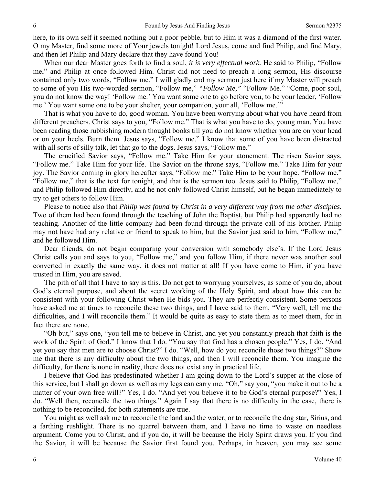here, to its own self it seemed nothing but a poor pebble, but to Him it was a diamond of the first water. O my Master, find some more of Your jewels tonight! Lord Jesus, come and find Philip, and find Mary, and then let Philip and Mary declare that they have found You!

When our dear Master goes forth to find a soul, *it is very effectual work.* He said to Philip, "Follow me," and Philip at once followed Him. Christ did not need to preach a long sermon, His discourse contained only two words, "Follow me." I will gladly end my sermon just here if my Master will preach to some of you His two-worded sermon, "Follow me," *"Follow Me,"* "Follow Me." "Come, poor soul, you do not know the way! 'Follow me.' You want some one to go before you, to be your leader, 'Follow me.' You want some one to be your shelter, your companion, your all, 'Follow me.'"

That is what you have to do, good woman. You have been worrying about what you have heard from different preachers. Christ says to you, "Follow me." That is what you have to do, young man. You have been reading those rubbishing modern thought books till you do not know whether you are on your head or on your heels. Burn them. Jesus says, "Follow me." I know that some of you have been distracted with all sorts of silly talk, let that go to the dogs. Jesus says, "Follow me."

The crucified Savior says, "Follow me." Take Him for your atonement. The risen Savior says, "Follow me." Take Him for your life. The Savior on the throne says, "Follow me." Take Him for your joy. The Savior coming in glory hereafter says, "Follow me." Take Him to be your hope. "Follow me." "Follow me," that is the text for tonight, and that is the sermon too. Jesus said to Philip, "Follow me," and Philip followed Him directly, and he not only followed Christ himself, but he began immediately to try to get others to follow Him.

Please to notice also that *Philip was found by Christ in a very different way from the other disciples.*  Two of them had been found through the teaching of John the Baptist, but Philip had apparently had no teaching. Another of the little company had been found through the private call of his brother. Philip may not have had any relative or friend to speak to him, but the Savior just said to him, "Follow me," and he followed Him.

Dear friends, do not begin comparing your conversion with somebody else's. If the Lord Jesus Christ calls you and says to you, "Follow me," and you follow Him, if there never was another soul converted in exactly the same way, it does not matter at all! If you have come to Him, if you have trusted in Him, you are saved.

The pith of all that I have to say is this. Do not get to worrying yourselves, as some of you do, about God's eternal purpose, and about the secret working of the Holy Spirit, and about how this can be consistent with your following Christ when He bids you. They are perfectly consistent. Some persons have asked me at times to reconcile these two things, and I have said to them, "Very well, tell me the difficulties, and I will reconcile them." It would be quite as easy to state them as to meet them, for in fact there are none.

"Oh but," says one, "you tell me to believe in Christ, and yet you constantly preach that faith is the work of the Spirit of God." I know that I do. "You say that God has a chosen people." Yes, I do. "And yet you say that men are to choose Christ?" I do. "Well, how do you reconcile those two things?" Show me that there is any difficulty about the two things, and then I will reconcile them. You imagine the difficulty, for there is none in reality, there does not exist any in practical life.

I believe that God has predestinated whether I am going down to the Lord's supper at the close of this service, but I shall go down as well as my legs can carry me. "Oh," say you, "you make it out to be a matter of your own free will?" Yes, I do. "And yet you believe it to be God's eternal purpose?" Yes, I do. "Well then, reconcile the two things." Again I say that there is no difficulty in the case, there is nothing to be reconciled, for both statements are true.

You might as well ask me to reconcile the land and the water, or to reconcile the dog star, Sirius, and a farthing rushlight. There is no quarrel between them, and I have no time to waste on needless argument. Come you to Christ, and if you do, it will be because the Holy Spirit draws you. If you find the Savior, it will be because the Savior first found you. Perhaps, in heaven, you may see some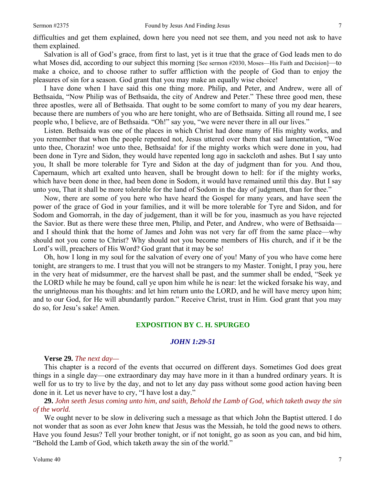difficulties and get them explained, down here you need not see them, and you need not ask to have them explained.

Salvation is all of God's grace, from first to last, yet is it true that the grace of God leads men to do what Moses did, according to our subject this morning [See sermon #2030, Moses—His Faith and Decision]—to make a choice, and to choose rather to suffer affliction with the people of God than to enjoy the pleasures of sin for a season. God grant that you may make an equally wise choice!

I have done when I have said this one thing more. Philip, and Peter, and Andrew, were all of Bethsaida, "Now Philip was of Bethsaida, the city of Andrew and Peter." These three good men, these three apostles, were all of Bethsaida. That ought to be some comfort to many of you my dear hearers, because there are numbers of you who are here tonight, who are of Bethsaida. Sitting all round me, I see people who, I believe, are of Bethsaida. "Oh!" say you, "we were never there in all our lives."

Listen. Bethsaida was one of the places in which Christ had done many of His mighty works, and you remember that when the people repented not, Jesus uttered over them that sad lamentation, "Woe unto thee, Chorazin! woe unto thee, Bethsaida! for if the mighty works which were done in you, had been done in Tyre and Sidon, they would have repented long ago in sackcloth and ashes. But I say unto you, It shall be more tolerable for Tyre and Sidon at the day of judgment than for you. And thou, Capernaum, which art exalted unto heaven, shall be brought down to hell: for if the mighty works, which have been done in thee, had been done in Sodom, it would have remained until this day. But I say unto you, That it shall be more tolerable for the land of Sodom in the day of judgment, than for thee."

Now, there are some of you here who have heard the Gospel for many years, and have seen the power of the grace of God in your families, and it will be more tolerable for Tyre and Sidon, and for Sodom and Gomorrah, in the day of judgement, than it will be for you, inasmuch as you have rejected the Savior. But as there were these three men, Philip, and Peter, and Andrew, who were of Bethsaida and I should think that the home of James and John was not very far off from the same place—why should not you come to Christ? Why should not you become members of His church, and if it be the Lord's will, preachers of His Word? God grant that it may be so!

Oh, how I long in my soul for the salvation of every one of you! Many of you who have come here tonight, are strangers to me. I trust that you will not be strangers to my Master. Tonight, I pray you, here in the very heat of midsummer, ere the harvest shall be past, and the summer shall be ended, "Seek ye the LORD while he may be found, call ye upon him while he is near: let the wicked forsake his way, and the unrighteous man his thoughts: and let him return unto the LORD, and he will have mercy upon him; and to our God, for He will abundantly pardon." Receive Christ, trust in Him. God grant that you may do so, for Jesu's sake! Amen.

#### **EXPOSITION BY C. H. SPURGEO**

### *JOHN 1:29-51*

#### **Verse 29.** *The next day—*

This chapter is a record of the events that occurred on different days. Sometimes God does great things in a single day—one extraordinary day may have more in it than a hundred ordinary years. It is well for us to try to live by the day, and not to let any day pass without some good action having been done in it. Let us never have to cry, "I have lost a day."

**29.** *John seeth Jesus coming unto him, and saith, Behold the Lamb of God, which taketh away the sin of the world.* 

We ought never to be slow in delivering such a message as that which John the Baptist uttered. I do not wonder that as soon as ever John knew that Jesus was the Messiah, he told the good news to others. Have you found Jesus? Tell your brother tonight, or if not tonight, go as soon as you can, and bid him, "Behold the Lamb of God, which taketh away the sin of the world."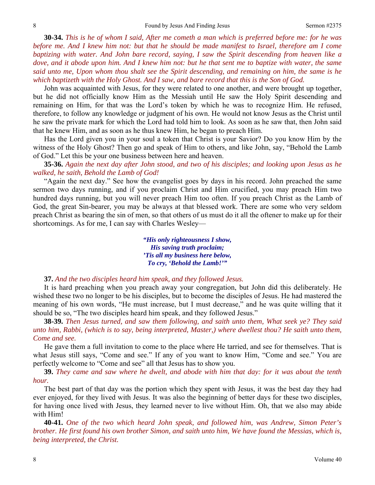**30-34.** *This is he of whom I said, After me cometh a man which is preferred before me: for he was before me. And I knew him not: but that he should be made manifest to Israel, therefore am I come baptizing with water. And John bare record, saying, I saw the Spirit descending from heaven like a dove, and it abode upon him. And I knew him not: but he that sent me to baptize with water, the same said unto me, Upon whom thou shalt see the Spirit descending, and remaining on him, the same is he which baptizeth with the Holy Ghost. And I saw, and bare record that this is the Son of God.* 

John was acquainted with Jesus, for they were related to one another, and were brought up together, but he did not officially know Him as the Messiah until He saw the Holy Spirit descending and remaining on Him, for that was the Lord's token by which he was to recognize Him. He refused, therefore, to follow any knowledge or judgment of his own. He would not know Jesus as the Christ until he saw the private mark for which the Lord had told him to look. As soon as he saw that, then John said that he knew Him, and as soon as he thus knew Him, he began to preach Him.

Has the Lord given you in your soul a token that Christ is your Savior? Do you know Him by the witness of the Holy Ghost? Then go and speak of Him to others, and like John, say, "Behold the Lamb of God." Let this be your one business between here and heaven.

**35-36.** *Again the next day after John stood, and two of his disciples; and looking upon Jesus as he walked, he saith, Behold the Lamb of God!* 

"Again the next day." See how the evangelist goes by days in his record. John preached the same sermon two days running, and if you proclaim Christ and Him crucified, you may preach Him two hundred days running, but you will never preach Him too often. If you preach Christ as the Lamb of God, the great Sin-bearer, you may be always at that blessed work. There are some who very seldom preach Christ as bearing the sin of men, so that others of us must do it all the oftener to make up for their shortcomings. As for me, I can say with Charles Wesley—

> *"His only righteousness I show, His saving truth proclaim; 'Tis all my business here below, To cry, 'Behold the Lamb!'"*

#### **37.** *And the two disciples heard him speak, and they followed Jesus.*

It is hard preaching when you preach away your congregation, but John did this deliberately. He wished these two no longer to be his disciples, but to become the disciples of Jesus. He had mastered the meaning of his own words, "He must increase, but I must decrease," and he was quite willing that it should be so, "The two disciples heard him speak, and they followed Jesus."

**38-39.** *Then Jesus turned, and saw them following, and saith unto them, What seek ye? They said unto him, Rabbi, (which is to say, being interpreted, Master,) where dwellest thou? He saith unto them, Come and see.* 

He gave them a full invitation to come to the place where He tarried, and see for themselves. That is what Jesus still says, "Come and see." If any of you want to know Him, "Come and see." You are perfectly welcome to "Come and see" all that Jesus has to show you.

**39.** *They came and saw where he dwelt, and abode with him that day: for it was about the tenth hour.* 

The best part of that day was the portion which they spent with Jesus, it was the best day they had ever enjoyed, for they lived with Jesus. It was also the beginning of better days for these two disciples, for having once lived with Jesus, they learned never to live without Him. Oh, that we also may abide with Him!

**40-41.** *One of the two which heard John speak, and followed him, was Andrew, Simon Peter's brother. He first found his own brother Simon, and saith unto him, We have found the Messias, which is, being interpreted, the Christ.*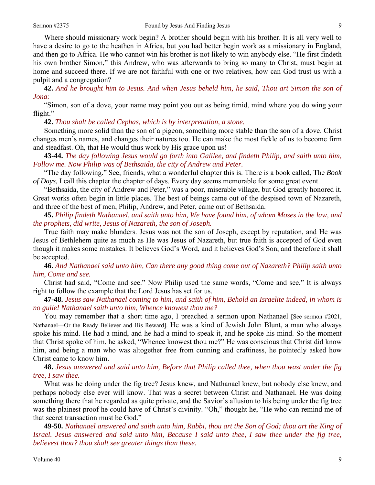Where should missionary work begin? A brother should begin with his brother. It is all very well to have a desire to go to the heathen in Africa, but you had better begin work as a missionary in England, and then go to Africa. He who cannot win his brother is not likely to win anybody else. "He first findeth his own brother Simon," this Andrew, who was afterwards to bring so many to Christ, must begin at home and succeed there. If we are not faithful with one or two relatives, how can God trust us with a pulpit and a congregation?

**42.** *And he brought him to Jesus. And when Jesus beheld him, he said, Thou art Simon the son of Jona:* 

"Simon, son of a dove, your name may point you out as being timid, mind where you do wing your flight."

**42.** *Thou shalt be called Cephas, which is by interpretation, a stone.* 

Something more solid than the son of a pigeon, something more stable than the son of a dove. Christ changes men's names, and changes their natures too. He can make the most fickle of us to become firm and steadfast. Oh, that He would thus work by His grace upon us!

**43-44.** *The day following Jesus would go forth into Galilee, and findeth Philip, and saith unto him, Follow me. Now Philip was of Bethsaida, the city of Andrew and Peter.* 

"The day following." See, friends, what a wonderful chapter this is. There is a book called, The *Book of Days,* I call this chapter the chapter of days. Every day seems memorable for some great event.

"Bethsaida, the city of Andrew and Peter," was a poor, miserable village, but God greatly honored it. Great works often begin in little places. The best of beings came out of the despised town of Nazareth, and three of the best of men, Philip, Andrew, and Peter, came out of Bethsaida.

**45.** *Philip findeth Nathanael, and saith unto him, We have found him, of whom Moses in the law, and the prophets, did write, Jesus of Nazareth, the son of Joseph.* 

True faith may make blunders. Jesus was not the son of Joseph, except by reputation, and He was Jesus of Bethlehem quite as much as He was Jesus of Nazareth, but true faith is accepted of God even though it makes some mistakes. It believes God's Word, and it believes God's Son, and therefore it shall be accepted.

**46.** *And Nathanael said unto him, Can there any good thing come out of Nazareth? Philip saith unto him, Come and see.* 

Christ had said, "Come and see." Now Philip used the same words, "Come and see." It is always right to follow the example that the Lord Jesus has set for us.

**47-48.** *Jesus saw Nathanael coming to him, and saith of him, Behold an Israelite indeed, in whom is no guile! Nathanael saith unto him, Whence knowest thou me?* 

You may remember that a short time ago, I preached a sermon upon Nathanael [See sermon #2021, Nathanael—Or the Ready Believer and His Reward]. He was a kind of Jewish John Blunt, a man who always spoke his mind. He had a mind, and he had a mind to speak it, and he spoke his mind. So the moment that Christ spoke of him, he asked, "Whence knowest thou me?" He was conscious that Christ did know him, and being a man who was altogether free from cunning and craftiness, he pointedly asked how Christ came to know him.

**48.** *Jesus answered and said unto him, Before that Philip called thee, when thou wast under the fig tree, I saw thee.* 

What was he doing under the fig tree? Jesus knew, and Nathanael knew, but nobody else knew, and perhaps nobody else ever will know. That was a secret between Christ and Nathanael. He was doing something there that he regarded as quite private, and the Savior's allusion to his being under the fig tree was the plainest proof he could have of Christ's divinity. "Oh," thought he, "He who can remind me of that secret transaction must be God."

**49-50.** *Nathanael answered and saith unto him, Rabbi, thou art the Son of God; thou art the King of Israel. Jesus answered and said unto him, Because I said unto thee, I saw thee under the fig tree, believest thou? thou shalt see greater things than these.*